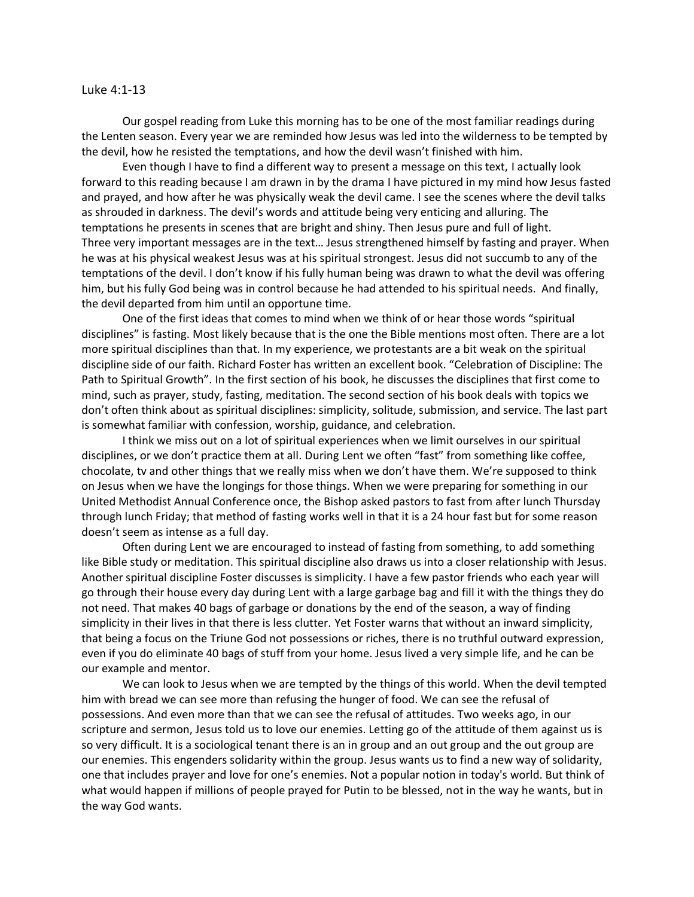## Luke 4:1-13

Our gospel reading from Luke this morning has to be one of the most familiar readings during the Lenten season. Every year we are reminded how Jesus was led into the wilderness to be tempted by the devil, how he resisted the temptations, and how the devil wasn't finished with him.

Even though I have to find a different way to present a message on this text, I actually look forward to this reading because I am drawn in by the drama I have pictured in my mind how Jesus fasted and prayed, and how after he was physically weak the devil came. I see the scenes where the devil talks as shrouded in darkness. The devil's words and attitude being very enticing and alluring. The temptations he presents in scenes that are bright and shiny. Then Jesus pure and full of light. Three very important messages are in the text… Jesus strengthened himself by fasting and prayer. When he was at his physical weakest Jesus was at his spiritual strongest. Jesus did not succumb to any of the temptations of the devil. I don't know if his fully human being was drawn to what the devil was offering him, but his fully God being was in control because he had attended to his spiritual needs. And finally, the devil departed from him until an opportune time.

One of the first ideas that comes to mind when we think of or hear those words "spiritual disciplines" is fasting. Most likely because that is the one the Bible mentions most often. There are a lot more spiritual disciplines than that. In my experience, we protestants are a bit weak on the spiritual discipline side of our faith. Richard Foster has written an excellent book. "Celebration of Discipline: The Path to Spiritual Growth". In the first section of his book, he discusses the disciplines that first come to mind, such as prayer, study, fasting, meditation. The second section of his book deals with topics we don't often think about as spiritual disciplines: simplicity, solitude, submission, and service. The last part is somewhat familiar with confession, worship, guidance, and celebration.

I think we miss out on a lot of spiritual experiences when we limit ourselves in our spiritual disciplines, or we don't practice them at all. During Lent we often "fast" from something like coffee, chocolate, tv and other things that we really miss when we don't have them. We're supposed to think on Jesus when we have the longings for those things. When we were preparing for something in our United Methodist Annual Conference once, the Bishop asked pastors to fast from after lunch Thursday through lunch Friday; that method of fasting works well in that it is a 24 hour fast but for some reason doesn't seem as intense as a full day.

Often during Lent we are encouraged to instead of fasting from something, to add something like Bible study or meditation. This spiritual discipline also draws us into a closer relationship with Jesus. Another spiritual discipline Foster discusses is simplicity. I have a few pastor friends who each year will go through their house every day during Lent with a large garbage bag and fill it with the things they do not need. That makes 40 bags of garbage or donations by the end of the season, a way of finding simplicity in their lives in that there is less clutter. Yet Foster warns that without an inward simplicity, that being a focus on the Triune God not possessions or riches, there is no truthful outward expression, even if you do eliminate 40 bags of stuff from your home. Jesus lived a very simple life, and he can be our example and mentor.

We can look to Jesus when we are tempted by the things of this world. When the devil tempted him with bread we can see more than refusing the hunger of food. We can see the refusal of possessions. And even more than that we can see the refusal of attitudes. Two weeks ago, in our scripture and sermon, Jesus told us to love our enemies. Letting go of the attitude of them against us is so very difficult. It is a sociological tenant there is an in group and an out group and the out group are our enemies. This engenders solidarity within the group. Jesus wants us to find a new way of solidarity, one that includes prayer and love for one's enemies. Not a popular notion in today's world. But think of what would happen if millions of people prayed for Putin to be blessed, not in the way he wants, but in the way God wants.